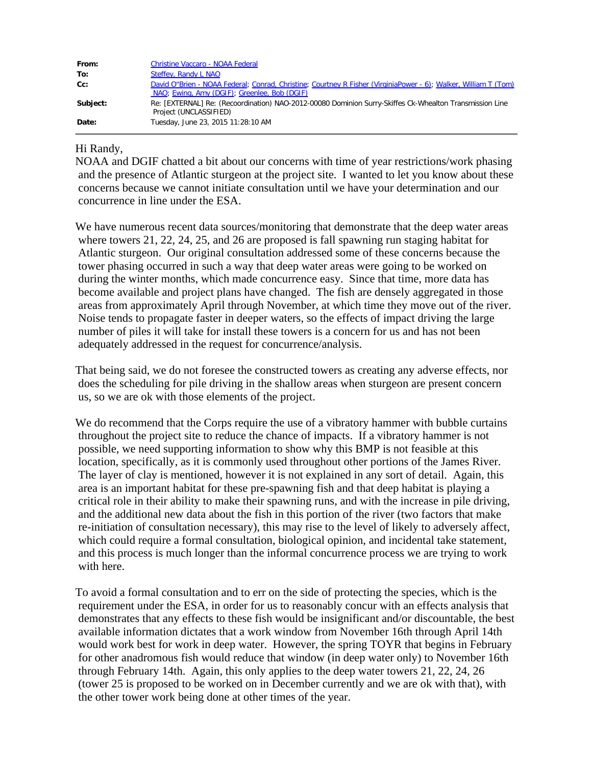| From:    | <b>Christine Vaccaro - NOAA Federal</b>                                                                                                                         |
|----------|-----------------------------------------------------------------------------------------------------------------------------------------------------------------|
| To:      | Steffey, Randy L NAO                                                                                                                                            |
| Cc:      | David O"Brien - NOAA Federal; Conrad, Christine; Courtney R Fisher (VirginiaPower - 6); Walker, William T (Tom)<br>NAO; Ewing, Amy (DGIF); Greenlee, Bob (DGIF) |
| Subject: | Re: [EXTERNAL] Re: (Recoordination) NAO-2012-00080 Dominion Surry-Skiffes Ck-Whealton Transmission Line<br>Project (UNCLASSIFIED)                               |
| Date:    | Tuesday, June 23, 2015 11:28:10 AM                                                                                                                              |

#### Hi Randy,

NOAA and DGIF chatted a bit about our concerns with time of year restrictions/work phasing and the presence of Atlantic sturgeon at the project site. I wanted to let you know about these concerns because we cannot initiate consultation until we have your determination and our concurrence in line under the ESA.

We have numerous recent data sources/monitoring that demonstrate that the deep water areas where towers 21, 22, 24, 25, and 26 are proposed is fall spawning run staging habitat for Atlantic sturgeon. Our original consultation addressed some of these concerns because the tower phasing occurred in such a way that deep water areas were going to be worked on during the winter months, which made concurrence easy. Since that time, more data has become available and project plans have changed. The fish are densely aggregated in those areas from approximately April through November, at which time they move out of the river. Noise tends to propagate faster in deeper waters, so the effects of impact driving the large number of piles it will take for install these towers is a concern for us and has not been adequately addressed in the request for concurrence/analysis.

That being said, we do not foresee the constructed towers as creating any adverse effects, nor does the scheduling for pile driving in the shallow areas when sturgeon are present concern us, so we are ok with those elements of the project.

We do recommend that the Corps require the use of a vibratory hammer with bubble curtains throughout the project site to reduce the chance of impacts. If a vibratory hammer is not possible, we need supporting information to show why this BMP is not feasible at this location, specifically, as it is commonly used throughout other portions of the James River. The layer of clay is mentioned, however it is not explained in any sort of detail. Again, this area is an important habitat for these pre-spawning fish and that deep habitat is playing a critical role in their ability to make their spawning runs, and with the increase in pile driving, and the additional new data about the fish in this portion of the river (two factors that make re-initiation of consultation necessary), this may rise to the level of likely to adversely affect, which could require a formal consultation, biological opinion, and incidental take statement, and this process is much longer than the informal concurrence process we are trying to work with here.

To avoid a formal consultation and to err on the side of protecting the species, which is the requirement under the ESA, in order for us to reasonably concur with an effects analysis that demonstrates that any effects to these fish would be insignificant and/or discountable, the best available information dictates that a work window from November 16th through April 14th would work best for work in deep water. However, the spring TOYR that begins in February for other anadromous fish would reduce that window (in deep water only) to November 16th through February 14th. Again, this only applies to the deep water towers 21, 22, 24, 26 (tower 25 is proposed to be worked on in December currently and we are ok with that), with the other tower work being done at other times of the year.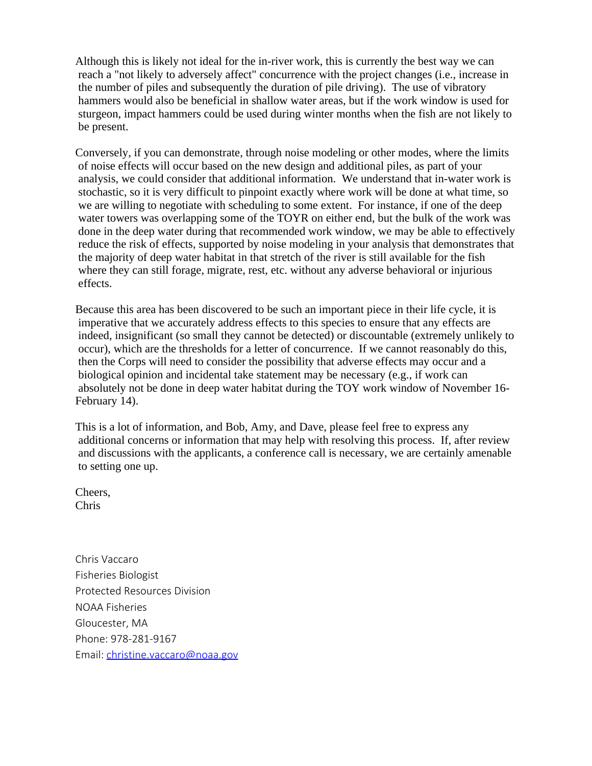Although this is likely not ideal for the in-river work, this is currently the best way we can reach a "not likely to adversely affect" concurrence with the project changes (i.e., increase in the number of piles and subsequently the duration of pile driving). The use of vibratory hammers would also be beneficial in shallow water areas, but if the work window is used for sturgeon, impact hammers could be used during winter months when the fish are not likely to be present.

Conversely, if you can demonstrate, through noise modeling or other modes, where the limits of noise effects will occur based on the new design and additional piles, as part of your analysis, we could consider that additional information. We understand that in-water work is stochastic, so it is very difficult to pinpoint exactly where work will be done at what time, so we are willing to negotiate with scheduling to some extent. For instance, if one of the deep water towers was overlapping some of the TOYR on either end, but the bulk of the work was done in the deep water during that recommended work window, we may be able to effectively reduce the risk of effects, supported by noise modeling in your analysis that demonstrates that the majority of deep water habitat in that stretch of the river is still available for the fish where they can still forage, migrate, rest, etc. without any adverse behavioral or injurious effects.

Because this area has been discovered to be such an important piece in their life cycle, it is imperative that we accurately address effects to this species to ensure that any effects are indeed, insignificant (so small they cannot be detected) or discountable (extremely unlikely to occur), which are the thresholds for a letter of concurrence. If we cannot reasonably do this, then the Corps will need to consider the possibility that adverse effects may occur and a biological opinion and incidental take statement may be necessary (e.g., if work can absolutely not be done in deep water habitat during the TOY work window of November 16- February 14).

This is a lot of information, and Bob, Amy, and Dave, please feel free to express any additional concerns or information that may help with resolving this process. If, after review and discussions with the applicants, a conference call is necessary, we are certainly amenable to setting one up.

Cheers, Chris

Chris Vaccaro Fisheries Biologist Protected Resources Division NOAA Fisheries Gloucester, MA Phone: 978-281-9167 Email: [christine.vaccaro@noaa.gov](mailto:christine.vaccaro@noaa.gov)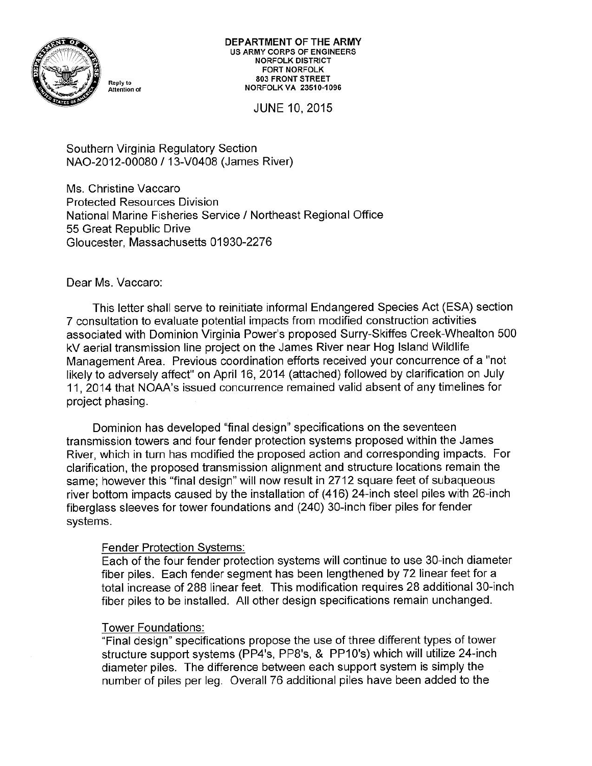

DEPARTMENT OF THE ARMY **US ARMY CORPS OF ENGINEERS NORFOLK DISTRICT FORT NORFOLK** 803 FRONT STREET **NORFOLK VA 23510-1096** 

JUNE 10, 2015

Southern Virginia Regulatory Section NAO-2012-00080 / 13-V0408 (James River)

Ms. Christine Vaccaro **Protected Resources Division** National Marine Fisheries Service / Northeast Regional Office 55 Great Republic Drive Gloucester, Massachusetts 01930-2276

# Dear Ms. Vaccaro:

This letter shall serve to reinitiate informal Endangered Species Act (ESA) section 7 consultation to evaluate potential impacts from modified construction activities associated with Dominion Virginia Power's proposed Surry-Skiffes Creek-Whealton 500 kV aerial transmission line project on the James River near Hog Island Wildlife Management Area. Previous coordination efforts received your concurrence of a "not likely to adversely affect" on April 16, 2014 (attached) followed by clarification on July 11, 2014 that NOAA's issued concurrence remained valid absent of any timelines for project phasing.

Dominion has developed "final design" specifications on the seventeen transmission towers and four fender protection systems proposed within the James River, which in turn has modified the proposed action and corresponding impacts. For clarification, the proposed transmission alignment and structure locations remain the same; however this "final design" will now result in 2712 square feet of subaqueous river bottom impacts caused by the installation of (416) 24-inch steel piles with 26-inch fiberglass sleeves for tower foundations and (240) 30-inch fiber piles for fender systems.

# **Fender Protection Systems:**

Each of the four fender protection systems will continue to use 30-inch diameter fiber piles. Each fender segment has been lengthened by 72 linear feet for a total increase of 288 linear feet. This modification requires 28 additional 30-inch fiber piles to be installed. All other design specifications remain unchanged.

### Tower Foundations:

"Final design" specifications propose the use of three different types of tower structure support systems (PP4's, PP8's, & PP10's) which will utilize 24-inch diameter piles. The difference between each support system is simply the number of piles per leg. Overall 76 additional piles have been added to the